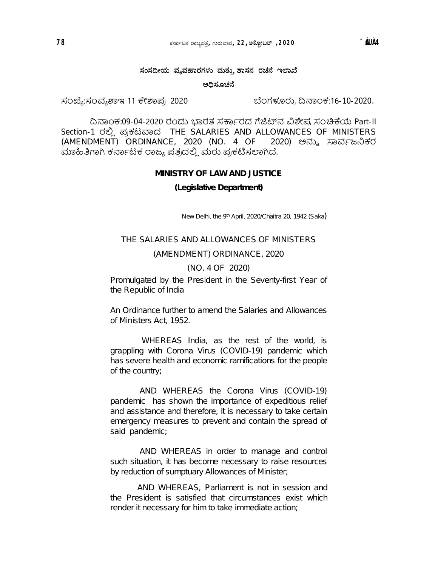## **ಸಂಸ⁂ೕಯ ವῡವಾರಗಳು ಮತುῗ  ಾಸನ ರಚ ಇ ಾ⁔**

ಅಧಿಸೂಚನೆ

ಸಂಖ್ಯೆ:ಸಂವ್ಯಶಾಇ 11 ಕೇಶಾಪ್ರ 2020 ಬೆಂಗಳೂರು, ದಿನಾಂಕ:16-10-2020.

ದಿನಾಂಕ:09-04-2020 ರಂದು ಭಾರತ ಸರ್ಕಾರದ ಗೆಜೆಟ್ನ ವಿಶೇಷ ಸಂಚಿಕೆಯ Part-II Section-1 ರಲ್ಲಿ ಪ್ರಕಟವಾದ THE SALARIES AND ALLOWANCES OF MINISTERS (AMENDMENT) ORDINANCE, 2020 (NO. 4 OF 2020) ಅನ್ನು ಸಾರ್ವಜನಿಕರ ಮಾಹಿತಿಗಾಗಿ ಕರ್ನಾಟಕ ರಾಜ್ಯ ಪತ್ರದಲ್ಲಿ ಮರು ಪ್ರಕಟಿಸಲಾಗಿದೆ.

### **MINISTRY OF LAW AND JUSTICE**

#### **(Legislative Department)**

New Delhi, the 9<sup>th</sup> April, 2020/Chaitra 20, 1942 (Saka)

### THE SALARIES AND ALLOWANCES OF MINISTERS

#### (AMENDMENT) ORDINANCE, 2020

### (NO. 4 OF 2020)

Promulgated by the President in the Seventy-first Year of the Republic of India

An Ordinance further to amend the Salaries and Allowances of Ministers Act, 1952.

 WHEREAS India, as the rest of the world, is grappling with Corona Virus (COVID-19) pandemic which has severe health and economic ramifications for the people of the country;

 AND WHEREAS the Corona Virus (COVID-19) pandemic has shown the importance of expeditious relief and assistance and therefore, it is necessary to take certain emergency measures to prevent and contain the spread of said pandemic;

 AND WHEREAS in order to manage and control such situation, it has become necessary to raise resources by reduction of sumptuary Allowances of Minister;

 AND WHEREAS, Parliament is not in session and the President is satisfied that circumstances exist which render it necessary for him to take immediate action;